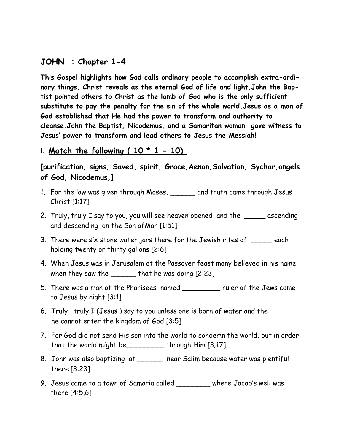#### **JOHN : Chapter 1-4**

**This Gospel highlights how God calls ordinary people to accomplish extra-ordinary things. Christ reveals as the eternal God of life and light.John the Baptist pointed others to Christ as the lamb of God who is the only sufficient substitute to pay the penalty for the sin of the whole world.Jesus as a man of God established that He had the power to transform and authority to cleanse.John the Baptist, Nicodemus, and a Samaritan woman gave witness to Jesus' power to transform and lead others to Jesus the Messiah!**

#### I. Match the following  $(10 * 1 = 10)$

**[purification, signs, Saved, spirit, Grace,Aenon,Salvation, Sychar,angels of God, Nicodemus,]** 

- 1. For the law was given through Moses, \_\_\_\_\_\_ and truth came through Jesus Christ [1:17]
- 2. Truly, truly I say to you, you will see heaven opened and the \_\_\_\_\_ ascending and descending on the Son ofMan [1:51]
- 3. There were six stone water jars there for the Jewish rites of  $\_\_\_\_\_$ each holding twenty or thirty gallons [2:6]
- 4. When Jesus was in Jerusalem at the Passover feast many believed in his name when they saw the  $\frac{1}{2}$  that he was doing [2:23]
- 5. There was a man of the Pharisees named The ruler of the Jews came to Jesus by night [3:1]
- 6. Truly, truly I (Jesus) say to you unless one is born of water and the he cannot enter the kingdom of God [3:5]
- 7. For God did not send His son into the world to condemn the world, but in order that the world might be\_\_\_\_\_\_\_\_\_ through Him [3;17]
- 8. John was also baptizing at \_\_\_\_\_\_ near Salim because water was plentiful there.[3:23]
- 9. Jesus came to a town of Samaria called \_\_\_\_\_\_\_\_ where Jacob's well was there [4:5,6]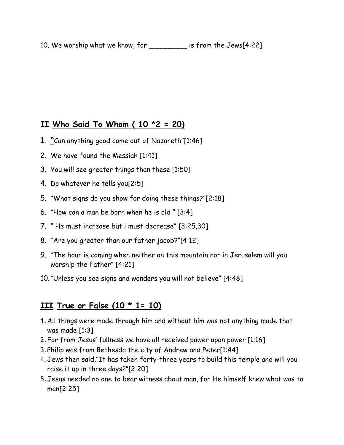#### **II**. **Who Said To Whom ( 10 \*2 = 20)**

- 1. **"**Can anything good come out of Nazareth"[1:46]
- 2. We have found the Messiah [1:41]
- 3. You will see greater things than these [1:50]
- 4. Do whatever he tells you[2:5]
- 5. "What signs do you show for doing these things?"[2:18]
- 6. "How can a man be born when he is old " [3:4]
- 7. " He must increase but i must decrease" [3:25,30]
- 8. "Are you greater than our father jacob?"[4:12]
- 9. "The hour is coming when neither on this mountain nor in Jerusalem will you worship the Father" [4:21]
- 10."Unless you see signs and wonders you will not believe" [4:48]

# **III**. **True or False (10 \* 1= 10)**

- 1.All things were made through him and without him was not anything made that was made [1:3]
- 2.For from Jesus' fullness we have all received power upon power [1:16]
- 3.Philip was from Bethesda the city of Andrew and Peter[1:44]
- 4.Jews then said,"It has taken forty-three years to build this temple and will you raise it up in three days?"[2:20]
- 5.Jesus needed no one to bear witness about man, for He himself knew what was to man[2:25]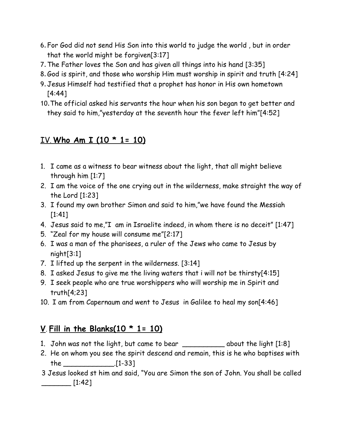- 6.For God did not send His Son into this world to judge the world , but in order that the world might be forgiven[3:17]
- 7.The Father loves the Son and has given all things into his hand [3:35]
- 8.God is spirit, and those who worship Him must worship in spirit and truth [4:24]
- 9.Jesus Himself had testified that a prophet has honor in His own hometown [4:44]
- 10.The official asked his servants the hour when his son began to get better and they said to him,"yesterday at the seventh hour the fever left him"[4:52]

# IV. **Who Am I (10 \* 1= 10)**

- 1. I came as a witness to bear witness about the light, that all might believe through him [1:7]
- 2. I am the voice of the one crying out in the wilderness, make straight the way of the Lord [1:23]
- 3. I found my own brother Simon and said to him,"we have found the Messiah [1:41]
- 4. Jesus said to me,"I am in Israelite indeed, in whom there is no deceit" [1:47]
- 5. "Zeal for my house will consume me"[2:17]
- 6. I was a man of the pharisees, a ruler of the Jews who came to Jesus by night[3:1]
- 7. I lifted up the serpent in the wilderness. [3:14]
- 8. I asked Jesus to give me the living waters that i will not be thirsty[4:15]
- 9. I seek people who are true worshippers who will worship me in Spirit and truth[4;23]
- 10. I am from Capernaum and went to Jesus in Galilee to heal my son[4:46]

# **V**. **Fill in the Blanks(10 \* 1= 10)**

- 1. John was not the light, but came to bear \_\_\_\_\_\_\_\_\_\_\_\_\_ about the light [1:8]
- 2. He on whom you see the spirit descend and remain, this is he who baptises with the \_\_\_\_\_\_\_\_\_\_\_\_.[1-33]

3 Jesus looked st him and said, "You are Simon the son of John. You shall be called  $\sqrt{1:42}$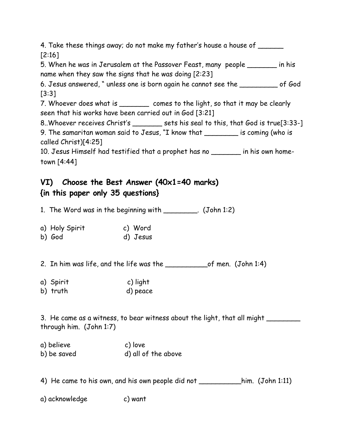4. Take these things away; do not make my father's house a house of [2:16]

5. When he was in Jerusalem at the Passover Feast, many people \_\_\_\_\_\_\_ in his name when they saw the signs that he was doing [2:23]

6. Jesus answered, " unless one is born again he cannot see the \_\_\_\_\_\_\_\_\_ of God  $[3:3]$ 

7. Whoever does what is \_\_\_\_\_\_\_\_ comes to the light, so that it may be clearly seen that his works have been carried out in God [3:21]

8..Whoever receives Christ's \_\_\_\_\_\_\_\_ sets his seal to this, that God is true[3:33-]

9. The samaritan woman said to Jesus, "I know that \_\_\_\_\_\_\_\_ is coming (who is called Christ)[4:25]

10. Jesus Himself had testified that a prophet has no \_\_\_\_\_\_\_ in his own hometown [4:44]

#### **VI) Choose the Best Answer (40x1=40 marks) {in this paper only 35 questions}**

1. The Word was in the beginning with \_\_\_\_\_\_\_\_. (John 1:2)

| a) Holy Spirit | c) Word  |
|----------------|----------|
| b) God         | d) Jesus |

2. In him was life, and the life was the \_\_\_\_\_\_\_\_\_\_\_\_\_of men. (John 1:4)

- a) Spirit c) light
- b) truth d) peace

3. He came as a witness, to bear witness about the light, that all might \_\_\_\_\_\_\_ through him. (John 1:7)

a) believe c) love b) be saved d) all of the above

4) He came to his own, and his own people did not \_\_\_\_\_\_\_\_\_him. (John 1:11)

a) acknowledge c) want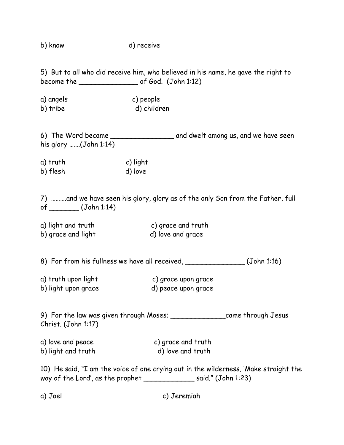b) know d) receive

5) But to all who did receive him, who believed in his name, he gave the right to become the \_\_\_\_\_\_\_\_\_\_\_\_\_\_ of God. (John 1:12)

a) angels c) people b) tribe d) children

6) The Word became \_\_\_\_\_\_\_\_\_\_\_\_\_\_\_ and dwelt among us, and we have seen his glory …….(John 1:14)

a) truth c) light b) flesh d) love

7) ……….and we have seen his glory, glory as of the only Son from the Father, full of \_\_\_\_\_\_\_ (John 1:14)

| a) light and truth | c) grace and truth |
|--------------------|--------------------|
| b) grace and light | d) love and grace  |

8) For from his fullness we have all received, \_\_\_\_\_\_\_\_\_\_\_\_\_\_\_(John 1:16)

| a) truth upon light | c) grace upon grace |
|---------------------|---------------------|
| b) light upon grace | d) peace upon grace |

9) For the law was given through Moses; \_\_\_\_\_\_\_\_\_\_\_\_\_\_\_\_came through Jesus Christ. (John 1:17)

| a) love and peace  | c) grace and truth |
|--------------------|--------------------|
| b) light and truth | d) love and truth  |

|                                  | 10) He said, "I am the voice of one crying out in the wilderness, 'Make straight the |
|----------------------------------|--------------------------------------------------------------------------------------|
| way of the Lord', as the prophet | . said." (John 1:23)                                                                 |

a) Joel c) Jeremiah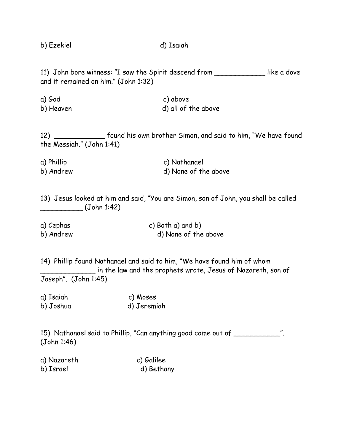b) Ezekiel d) Isaiah

11) John bore witness: "I saw the Spirit descend from \_\_\_\_\_\_\_\_\_\_\_\_ like a dove and it remained on him." (John 1:32)

a) God c) above b) Heaven d) all of the above

12) \_\_\_\_\_\_\_\_\_\_\_\_ found his own brother Simon, and said to him, "We have found the Messiah." (John 1:41)

a) Phillip c) Nathanael b) Andrew d) None of the above

13) Jesus looked at him and said, "You are Simon, son of John, you shall be called  $(John 1:42)$ 

| a) Cephas | c) Both a) and b)    |
|-----------|----------------------|
| b) Andrew | d) None of the above |

14) Phillip found Nathanael and said to him, "We have found him of whom \_\_\_\_\_\_\_\_\_\_\_\_\_ in the law and the prophets wrote, Jesus of Nazareth, son of Joseph". (John 1:45)

a) Isaiah c) Moses b) Joshua d) Jeremiah

15) Nathanael said to Phillip, "Can anything good come out of \_\_\_\_\_\_\_\_\_\_\_". (John 1:46)

| a) Nazareth | c) Galilee |
|-------------|------------|
| b) Israel   | d) Bethany |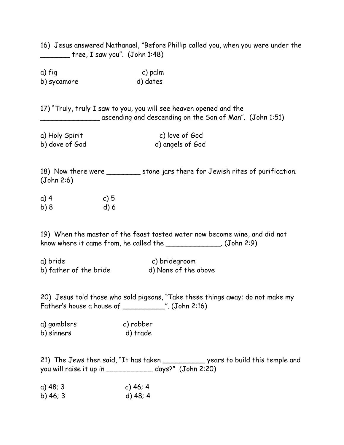16) Jesus answered Nathanael, "Before Phillip called you, when you were under the \_\_\_\_\_\_\_ tree, I saw you". (John 1:48)

a) fig c) palm b) sycamore d) dates

17) "Truly, truly I saw to you, you will see heaven opened and the \_\_\_\_\_\_\_\_\_\_\_\_\_\_ ascending and descending on the Son of Man". (John 1:51)

| a) Holy Spirit | c) love of God   |
|----------------|------------------|
| b) dove of God | d) angels of God |

18) Now there were \_\_\_\_\_\_\_\_ stone jars there for Jewish rites of purification. (John 2:6)

| a) 4 | c)5     |
|------|---------|
| b) 8 | $d$ ) 6 |

19) When the master of the feast tasted water now become wine, and did not know where it came from, he called the \_\_\_\_\_\_\_\_\_\_\_\_\_. (John 2:9)

| a) bride               | c) bridegroom        |
|------------------------|----------------------|
| b) father of the bride | d) None of the above |

20) Jesus told those who sold pigeons, "Take these things away; do not make my Father's house a house of \_\_\_\_\_\_\_\_\_\_\_\_\_\_". (John 2:16)

| a) gamblers | c) robber |
|-------------|-----------|
| b) sinners  | d) trade  |

21) The Jews then said, "It has taken \_\_\_\_\_\_\_\_\_\_\_\_ years to build this temple and you will raise it up in \_\_\_\_\_\_\_\_\_\_\_ days?" (John 2:20)

a) 48; 3 c) 46; 4 b) 46; 3 d) 48; 4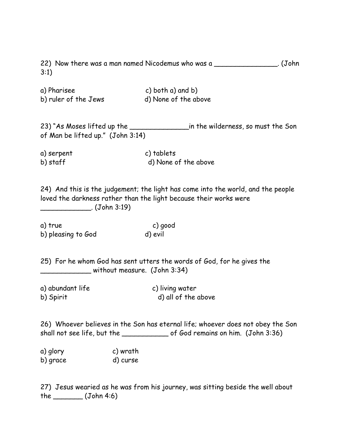22) Now there was a man named Nicodemus who was a \_\_\_\_\_\_\_\_\_\_\_\_\_\_\_. (John 3:1)

| a) Pharisee          | c) both $a)$ and $b)$ |
|----------------------|-----------------------|
| b) ruler of the Jews | d) None of the above  |

23) "As Moses lifted up the \_\_\_\_\_\_\_\_\_\_\_\_\_\_in the wilderness, so must the Son of Man be lifted up." (John 3:14)

| a) serpent | c) tablets           |
|------------|----------------------|
| b) staff   | d) None of the above |

24) And this is the judgement; the light has come into the world, and the people loved the darkness rather than the light because their works were \_\_\_\_\_\_\_\_\_\_\_\_. (John 3:19)

a) true c) good b) pleasing to God d) evil

25) For he whom God has sent utters the words of God, for he gives the \_\_\_\_\_\_\_\_\_\_\_\_ without measure. (John 3:34)

| a) abundant life | c) living water     |
|------------------|---------------------|
| b) Spirit        | d) all of the above |

26) Whoever believes in the Son has eternal life; whoever does not obey the Son shall not see life, but the \_\_\_\_\_\_\_\_\_\_\_\_\_\_\_\_ of God remains on him. (John 3:36)

| a) glory | c) wrath |
|----------|----------|
| b) grace | d) curse |

27) Jesus wearied as he was from his journey, was sitting beside the well about the \_\_\_\_\_\_\_ (John 4:6)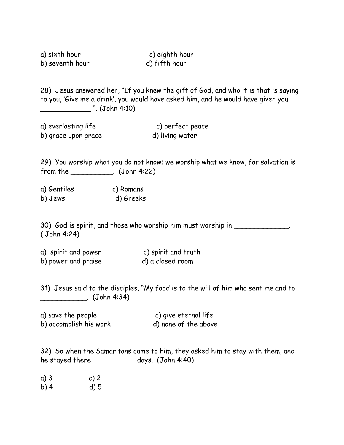a) sixth hour<br>
b) sounth hour<br>
h) sounth hour b) seventh hour d) fifth hour

28) Jesus answered her, "If you knew the gift of God, and who it is that is saying to you, 'Give me a drink', you would have asked him, and he would have given you \_\_\_\_\_\_\_\_\_\_\_\_ ". (John 4:10)

| a) everlasting life | c) perfect peace |
|---------------------|------------------|
| b) grace upon grace | d) living water  |

29) You worship what you do not know; we worship what we know, for salvation is from the \_\_\_\_\_\_\_\_\_\_. (John 4:22)

a) Gentiles c) Romans b) Jews d) Greeks

30) God is spirit, and those who worship him must worship in \_\_\_\_\_\_\_\_\_\_\_\_\_\_. ( John 4:24)

a) spirit and power c) spirit and truth<br>b) power and praise d) a closed room b) power and praise

31) Jesus said to the disciples, "My food is to the will of him who sent me and to \_\_\_\_\_\_\_\_\_\_\_. (John 4:34)

| a) save the people     | c) give eternal life |
|------------------------|----------------------|
| b) accomplish his work | d) none of the above |

32) So when the Samaritans came to him, they asked him to stay with them, and he stayed there \_\_\_\_\_\_\_\_\_\_\_\_\_ days. (John 4:40)

a) 3 c) 2 b) 4 d) 5